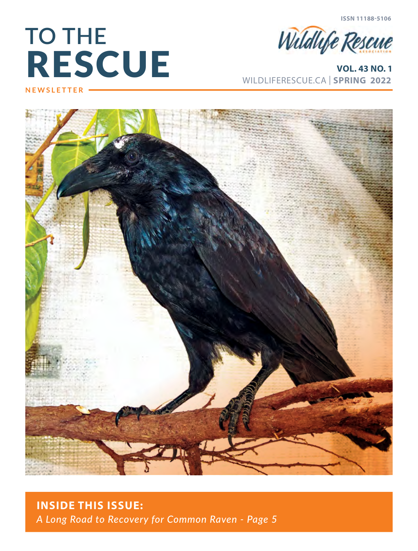**ISSN 11188-5106**

# RESCUE **TO THE NEWSLETTER**



WILDLIFERESCUE.CA | **SPRING 2022 VOL. 43 NO. 1**





### **INSIDE THIS ISSUE:** *A Long Road to Recovery for Common Raven - Page 5*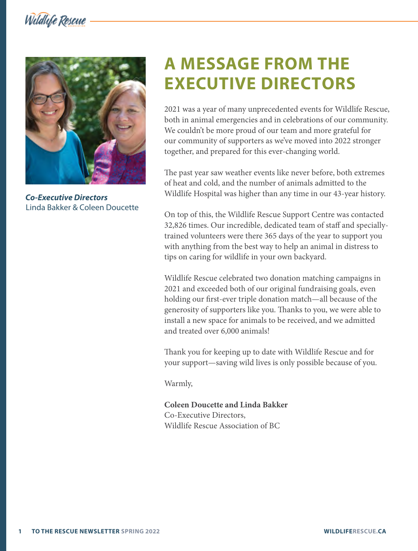Wildlife Rescue



*Co-Executive Directors* Linda Bakker & Coleen Doucette

## **A MESSAGE FROM THE EXECUTIVE DIRECTORS**

2021 was a year of many unprecedented events for Wildlife Rescue, both in animal emergencies and in celebrations of our community. We couldn't be more proud of our team and more grateful for our community of supporters as we've moved into 2022 stronger together, and prepared for this ever-changing world.

The past year saw weather events like never before, both extremes of heat and cold, and the number of animals admitted to the Wildlife Hospital was higher than any time in our 43-year history.

On top of this, the Wildlife Rescue Support Centre was contacted 32,826 times. Our incredible, dedicated team of staff and speciallytrained volunteers were there 365 days of the year to support you with anything from the best way to help an animal in distress to tips on caring for wildlife in your own backyard.

Wildlife Rescue celebrated two donation matching campaigns in 2021 and exceeded both of our original fundraising goals, even holding our first-ever triple donation match—all because of the generosity of supporters like you. Thanks to you, we were able to install a new space for animals to be received, and we admitted and treated over 6,000 animals!

Thank you for keeping up to date with Wildlife Rescue and for your support—saving wild lives is only possible because of you.

Warmly,

**Coleen Doucette and Linda Bakker** Co-Executive Directors, Wildlife Rescue Association of BC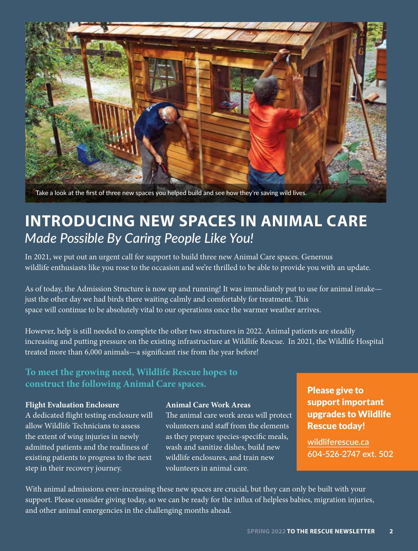

## **INTRODUCING NEW SPACES IN ANIMAL CARE** *Made Possible By Caring People Like You!*

In 2021, we put out an urgent call for support to build three new Animal Care spaces. Generous wildlife enthusiasts like you rose to the occasion and we're thrilled to be able to provide you with an update.

As of today, the Admission Structure is now up and running! It was immediately put to use for animal intake just the other day we had birds there waiting calmly and comfortably for treatment. This space will continue to be absolutely vital to our operations once the warmer weather arrives.

However, help is still needed to complete the other two structures in 2022. Animal patients are steadily increasing and putting pressure on the existing infrastructure at Wildlife Rescue. In 2021, the Wildlife Hospital treated more than 6,000 animals—a significant rise from the year before!

#### **To meet the growing need, Wildlife Rescue hopes to construct the following Animal Care spaces.**

#### **Flight Evaluation Enclosure**

A dedicated flight testing enclosure will allow Wildlife Technicians to assess the extent of wing injuries in newly admitted patients and the readiness of existing patients to progress to the next step in their recovery journey.

#### **Animal Care Work Areas**

The animal care work areas will protect volunteers and staff from the elements as they prepare species-specific meals, wash and sanitize dishes, build new wildlife enclosures, and train new volunteers in animal care.

#### Please give to support important upgrades to Wildlife Rescue today!

**wildliferescue.ca 604-526-2747 ext. 502**

With animal admissions ever-increasing these new spaces are crucial, but they can only be built with your support. Please consider giving today, so we can be ready for the influx of helpless babies, migration injuries, and other animal emergencies in the challenging months ahead.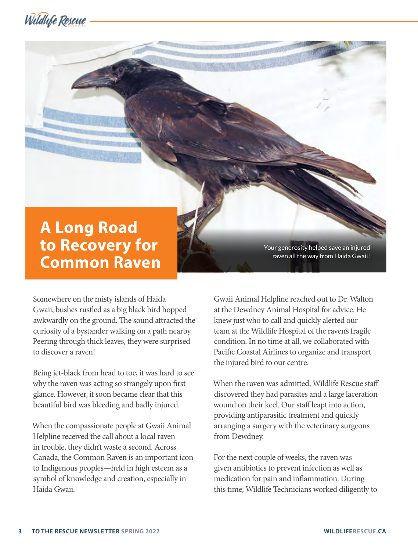



Somewhere on the misty islands of Haida Gwaii, bushes rustled as a big black bird hopped awkwardly on the ground. The sound attracted the curiosity of a bystander walking on a path nearby. Peering through thick leaves, they were surprised to discover a raven!

Being jet-black from head to toe, it was hard to see why the raven was acting so strangely upon first glance. However, it soon became clear that this beautiful bird was bleeding and badly injured.

When the compassionate people at Gwaii Animal Helpline received the call about a local raven in trouble, they didn't waste a second. Across Canada, the Common Raven is an important icon to Indigenous peoples—held in high esteem as a symbol of knowledge and creation, especially in Haida Gwaii.

Your generosity helped save an injured raven all the way from Haida Gwaii!

Gwaii Animal Helpline reached out to Dr. Walton at the Dewdney Animal Hospital for advice. He knew just who to call and quickly alerted our team at the Wildlife Hospital of the raven's fragile condition. In no time at all, we collaborated with Pacific Coastal Airlines to organize and transport the injured bird to our centre.

When the raven was admitted, Wildlife Rescue staff discovered they had parasites and a large laceration wound on their keel. Our staff leapt into action, providing antiparasitic treatment and quickly arranging a surgery with the veterinary surgeons from Dewdney.

For the next couple of weeks, the raven was given antibiotics to prevent infection as well as medication for pain and inflammation. During this time, Wildlife Technicians worked diligently to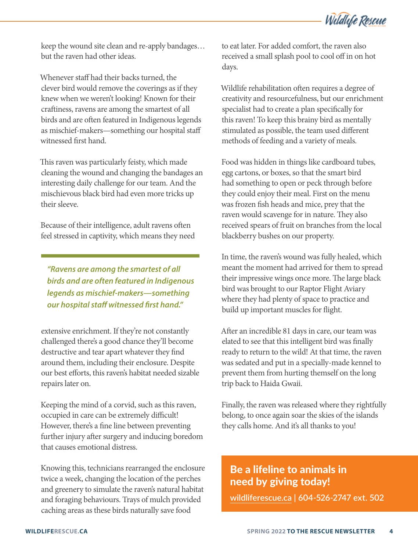Wildlife Rescue

keep the wound site clean and re-apply bandages… but the raven had other ideas.

Whenever staff had their backs turned, the clever bird would remove the coverings as if they knew when we weren't looking! Known for their craftiness, ravens are among the smartest of all birds and are often featured in Indigenous legends as mischief-makers—something our hospital staff witnessed first hand.

This raven was particularly feisty, which made cleaning the wound and changing the bandages an interesting daily challenge for our team. And the mischievous black bird had even more tricks up their sleeve.

Because of their intelligence, adult ravens often feel stressed in captivity, which means they need

*"Ravens are among the smartest of all birds and are often featured in Indigenous legends as mischief-makers—something our hospital sta***!** *witnessed* **"***rst hand."*

extensive enrichment. If they're not constantly challenged there's a good chance they'll become destructive and tear apart whatever they find around them, including their enclosure. Despite our best efforts, this raven's habitat needed sizable repairs later on.

Keeping the mind of a corvid, such as this raven, occupied in care can be extremely difficult! However, there's a fine line between preventing further injury after surgery and inducing boredom that causes emotional distress.

Knowing this, technicians rearranged the enclosure twice a week, changing the location of the perches and greenery to simulate the raven's natural habitat and foraging behaviours. Trays of mulch provided caching areas as these birds naturally save food

to eat later. For added comfort, the raven also received a small splash pool to cool off in on hot days.

Wildlife rehabilitation often requires a degree of creativity and resourcefulness, but our enrichment specialist had to create a plan specifically for this raven! To keep this brainy bird as mentally stimulated as possible, the team used different methods of feeding and a variety of meals.

Food was hidden in things like cardboard tubes, egg cartons, or boxes, so that the smart bird had something to open or peck through before they could enjoy their meal. First on the menu was frozen fish heads and mice, prey that the raven would scavenge for in nature. They also received spears of fruit on branches from the local blackberry bushes on our property.

In time, the raven's wound was fully healed, which meant the moment had arrived for them to spread their impressive wings once more. The large black bird was brought to our Raptor Flight Aviary where they had plenty of space to practice and build up important muscles for flight.

After an incredible 81 days in care, our team was elated to see that this intelligent bird was finally ready to return to the wild! At that time, the raven was sedated and put in a specially-made kennel to prevent them from hurting themself on the long trip back to Haida Gwaii.

Finally, the raven was released where they rightfully belong, to once again soar the skies of the islands they calls home. And it's all thanks to you!

#### Be a lifeline to animals in need by giving today!

**wildliferescue.ca | 604-526-2747 ext. 502**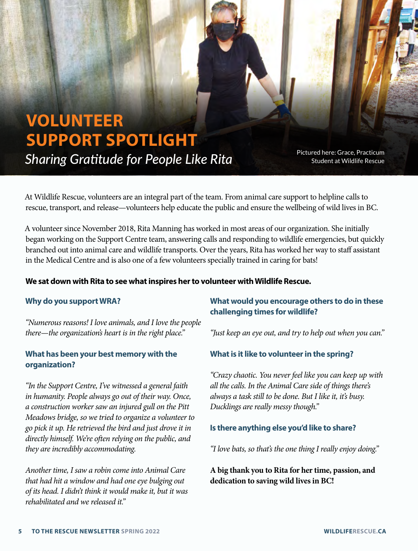

Pictured here: Grace, Practicum Student at Wildlife Rescue

At Wildlife Rescue, volunteers are an integral part of the team. From animal care support to helpline calls to rescue, transport, and release—volunteers help educate the public and ensure the wellbeing of wild lives in BC.

A volunteer since November 2018, Rita Manning has worked in most areas of our organization. She initially began working on the Support Centre team, answering calls and responding to wildlife emergencies, but quickly branched out into animal care and wildlife transports. Over the years, Rita has worked her way to staff assistant in the Medical Centre and is also one of a few volunteers specially trained in caring for bats!

#### **We sat down with Rita to see what inspires her to volunteer with Wildlife Rescue.**

#### **Why do you support WRA?**

*"Numerous reasons! I love animals, and I love the people there—the organization's heart is in the right place."*

#### **What has been your best memory with the organization?**

*"In the Support Centre, I've witnessed a general faith in humanity. People always go out of their way. Once, a construction worker saw an injured gull on the Pitt Meadows bridge, so we tried to organize a volunteer to go pick it up. He retrieved the bird and just drove it in directly himself. We're o*!*en relying on the public, and they are incredibly accommodating.* 

*Another time, I saw a robin come into Animal Care that had hit a window and had one eye bulging out of its head. I didn't think it would make it, but it was rehabilitated and we released it."*

#### **What would you encourage others to do in these challenging times for wildlife?**

*"Just keep an eye out, and try to help out when you can."*

#### **What is it like to volunteer in the spring?**

*"Crazy chaotic. You never feel like you can keep up with all the calls. In the Animal Care side of things there's always a task still to be done. But I like it, it's busy. Ducklings are really messy though."*

#### **Is there anything else you'd like to share?**

*"I love bats, so that's the one thing I really enjoy doing."*

**A big thank you to Rita for her time, passion, and dedication to saving wild lives in BC!**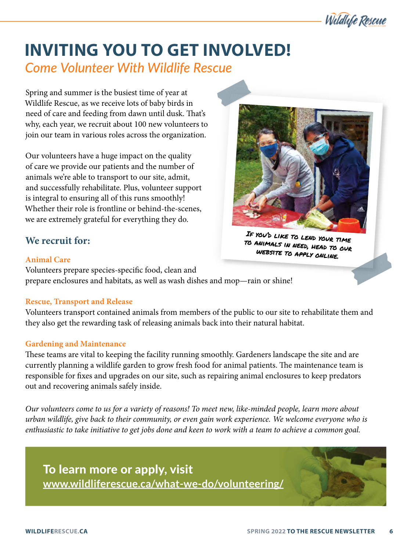### **INVITING YOU TO GET INVOLVED!** *Come Volunteer With Wildlife Rescue*

Spring and summer is the busiest time of year at Wildlife Rescue, as we receive lots of baby birds in need of care and feeding from dawn until dusk. That's why, each year, we recruit about 100 new volunteers to join our team in various roles across the organization.

Our volunteers have a huge impact on the quality of care we provide our patients and the number of animals we're able to transport to our site, admit, and successfully rehabilitate. Plus, volunteer support is integral to ensuring all of this runs smoothly! Whether their role is frontline or behind-the-scenes, we are extremely grateful for everything they do.

#### **We recruit for:**

#### **Animal Care**

Volunteers prepare species-specific food, clean and prepare enclosures and habitats, as well as wash dishes and mop—rain or shine!

#### **Rescue, Transport and Release**

Volunteers transport contained animals from members of the public to our site to rehabilitate them and they also get the rewarding task of releasing animals back into their natural habitat.

#### **Gardening and Maintenance**

These teams are vital to keeping the facility running smoothly. Gardeners landscape the site and are currently planning a wildlife garden to grow fresh food for animal patients. The maintenance team is responsible for fixes and upgrades on our site, such as repairing animal enclosures to keep predators out and recovering animals safely inside.

*Our volunteers come to us for a variety of reasons! To meet new, like-minded people, learn more about urban wildlife, give back to their community, or even gain work experience. We welcome everyone who is enthusiastic to take initiative to get jobs done and keen to work with a team to achieve a common goal.*





If you'd like to lend your time to animals in need, head to our website to apply online.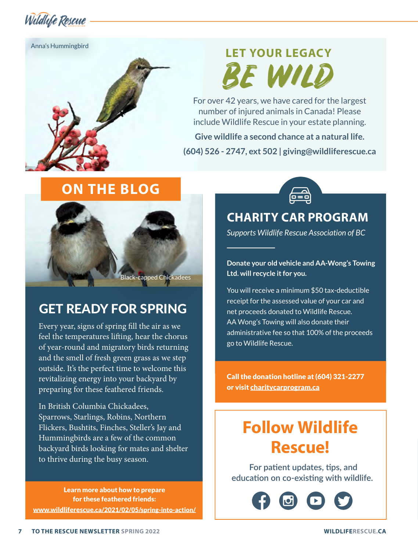Wildlife Rescue

Anna's Hummingbird

# **LET YOUR LEGACY** BE WILD

For over 42 years, we have cared for the largest number of injured animals in Canada! Please include Wildlife Rescue in your estate planning.

**Give wildlife a second chance at a natural life. (604) 526 - 2747, ext 502 | giving@wildliferescue.ca**

### **ON THE BLOG**



### GET READY FOR SPRING

Every year, signs of spring fill the air as we feel the temperatures lifting, hear the chorus of year-round and migratory birds returning and the smell of fresh green grass as we step outside. It's the perfect time to welcome this revitalizing energy into your backyard by preparing for these feathered friends.

In British Columbia Chickadees, Sparrows, Starlings, Robins, Northern Flickers, Bushtits, Finches, Steller's Jay and Hummingbirds are a few of the common backyard birds looking for mates and shelter to thrive during the busy season.

Learn more about how to prepare for these feathered friends: www.wildliferescue.ca/2021/02/05/spring-into-action/



### **CHARITY CAR PROGRAM**

*Supports Wildlife Rescue Association of BC*

**Donate your old vehicle and AA-Wong's Towing Ltd. will recycle it for you.**

You will receive a minimum \$50 tax-deductible receipt for the assessed value of your car and net proceeds donated to Wildlife Rescue. AA Wong's Towing will also donate their administrative fee so that 100% of the proceeds go to Wildlife Rescue.

Call the donation hotline at (604) 321-2277 or visit charitycarprogram.ca

## **Follow Wildlife Rescue!**

**For patient updates, tips, and** *<u>education on co-existing with wildlife.*</u>

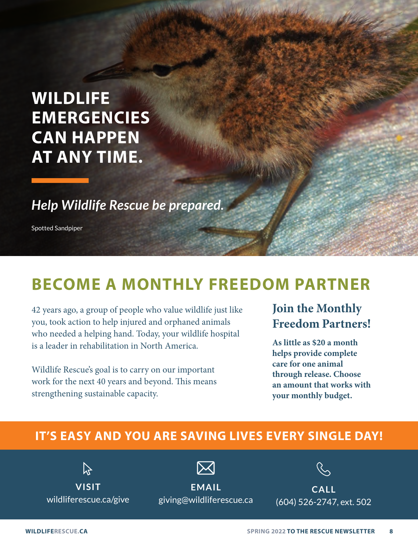## **WILDLIFE EMERGENCIES CAN HAPPEN AT ANY TIME.**

*Help Wildlife Rescue be prepared.*

Spotted Sandpiper

## **BECOME A MONTHLY FREEDOM PARTNER**

42 years ago, a group of people who value wildlife just like you, took action to help injured and orphaned animals who needed a helping hand. Today, your wildlife hospital is a leader in rehabilitation in North America.

Wildlife Rescue's goal is to carry on our important work for the next 40 years and beyond. This means strengthening sustainable capacity.

### **Join the Monthly Freedom Partners!**

**As little as \$20 a month helps provide complete care for one animal through release. Choose an amount that works with your monthly budget.** 

### **IT'S EASY AND YOU ARE SAVING LIVES EVERY SINGLE DAY!**

 $\mathbb{Z}$ 

**visit** wildliferescue.ca/give

**email** giving@wildliferescue.ca

**call** (604) 526-2747, ext. 502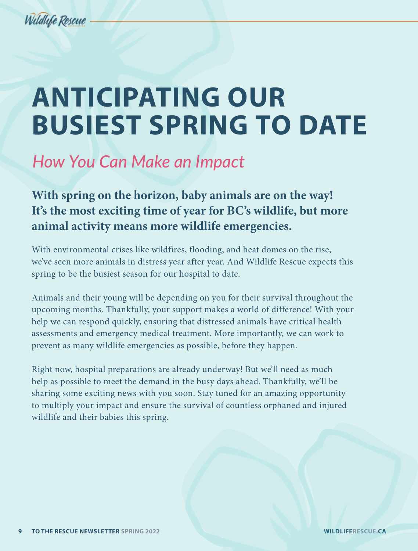

# **ANTICIPATING OUR BUSIEST SPRING TO DATE**

## *How You Can Make an Impact*

**With spring on the horizon, baby animals are on the way! It's the most exciting time of year for BC's wildlife, but more animal activity means more wildlife emergencies.** 

With environmental crises like wildfires, flooding, and heat domes on the rise, we've seen more animals in distress year after year. And Wildlife Rescue expects this spring to be the busiest season for our hospital to date.

Animals and their young will be depending on you for their survival throughout the upcoming months. Thankfully, your support makes a world of difference! With your help we can respond quickly, ensuring that distressed animals have critical health assessments and emergency medical treatment. More importantly, we can work to prevent as many wildlife emergencies as possible, before they happen.

Right now, hospital preparations are already underway! But we'll need as much help as possible to meet the demand in the busy days ahead. Thankfully, we'll be sharing some exciting news with you soon. Stay tuned for an amazing opportunity to multiply your impact and ensure the survival of countless orphaned and injured wildlife and their babies this spring.